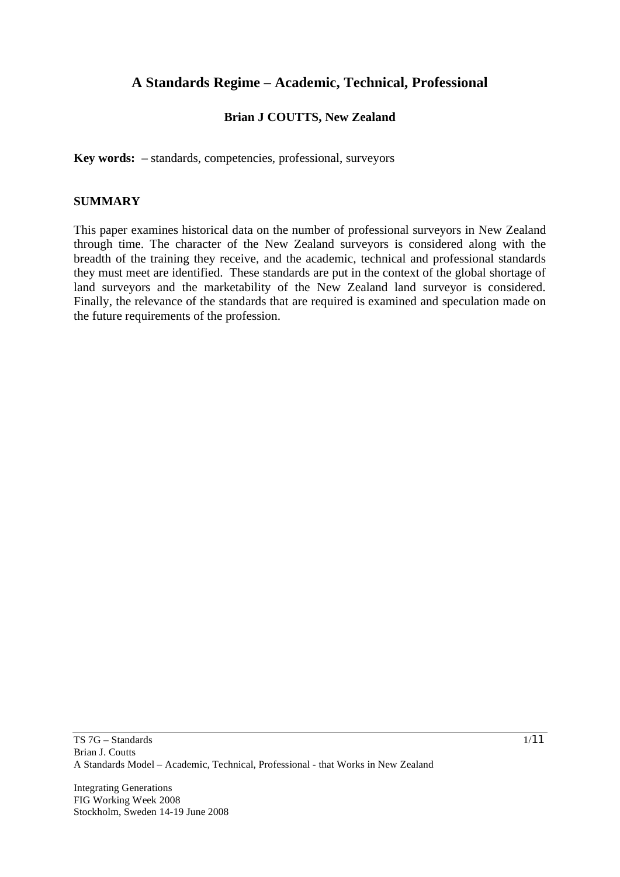# **A Standards Regime – Academic, Technical, Professional**

# **Brian J COUTTS, New Zealand**

**Key words:** – standards, competencies, professional, surveyors

#### **SUMMARY**

This paper examines historical data on the number of professional surveyors in New Zealand through time. The character of the New Zealand surveyors is considered along with the breadth of the training they receive, and the academic, technical and professional standards they must meet are identified. These standards are put in the context of the global shortage of land surveyors and the marketability of the New Zealand land surveyor is considered. Finally, the relevance of the standards that are required is examined and speculation made on the future requirements of the profession.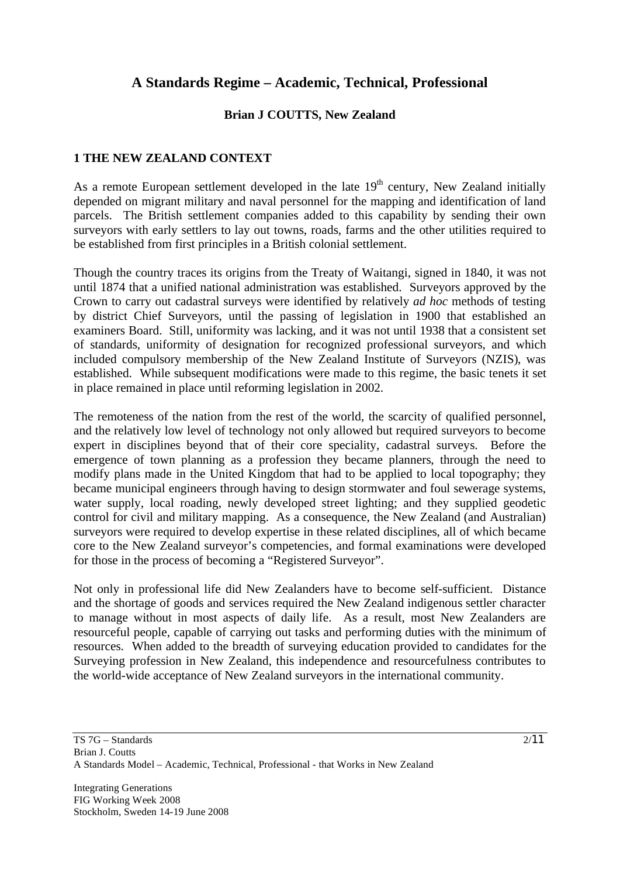# **A Standards Regime – Academic, Technical, Professional**

#### **Brian J COUTTS, New Zealand**

#### **1 THE NEW ZEALAND CONTEXT**

As a remote European settlement developed in the late  $19<sup>th</sup>$  century, New Zealand initially depended on migrant military and naval personnel for the mapping and identification of land parcels. The British settlement companies added to this capability by sending their own surveyors with early settlers to lay out towns, roads, farms and the other utilities required to be established from first principles in a British colonial settlement.

Though the country traces its origins from the Treaty of Waitangi, signed in 1840, it was not until 1874 that a unified national administration was established. Surveyors approved by the Crown to carry out cadastral surveys were identified by relatively *ad hoc* methods of testing by district Chief Surveyors, until the passing of legislation in 1900 that established an examiners Board. Still, uniformity was lacking, and it was not until 1938 that a consistent set of standards, uniformity of designation for recognized professional surveyors, and which included compulsory membership of the New Zealand Institute of Surveyors (NZIS), was established. While subsequent modifications were made to this regime, the basic tenets it set in place remained in place until reforming legislation in 2002.

The remoteness of the nation from the rest of the world, the scarcity of qualified personnel, and the relatively low level of technology not only allowed but required surveyors to become expert in disciplines beyond that of their core speciality, cadastral surveys. Before the emergence of town planning as a profession they became planners, through the need to modify plans made in the United Kingdom that had to be applied to local topography; they became municipal engineers through having to design stormwater and foul sewerage systems, water supply, local roading, newly developed street lighting; and they supplied geodetic control for civil and military mapping. As a consequence, the New Zealand (and Australian) surveyors were required to develop expertise in these related disciplines, all of which became core to the New Zealand surveyor's competencies, and formal examinations were developed for those in the process of becoming a "Registered Surveyor".

Not only in professional life did New Zealanders have to become self-sufficient. Distance and the shortage of goods and services required the New Zealand indigenous settler character to manage without in most aspects of daily life. As a result, most New Zealanders are resourceful people, capable of carrying out tasks and performing duties with the minimum of resources. When added to the breadth of surveying education provided to candidates for the Surveying profession in New Zealand, this independence and resourcefulness contributes to the world-wide acceptance of New Zealand surveyors in the international community.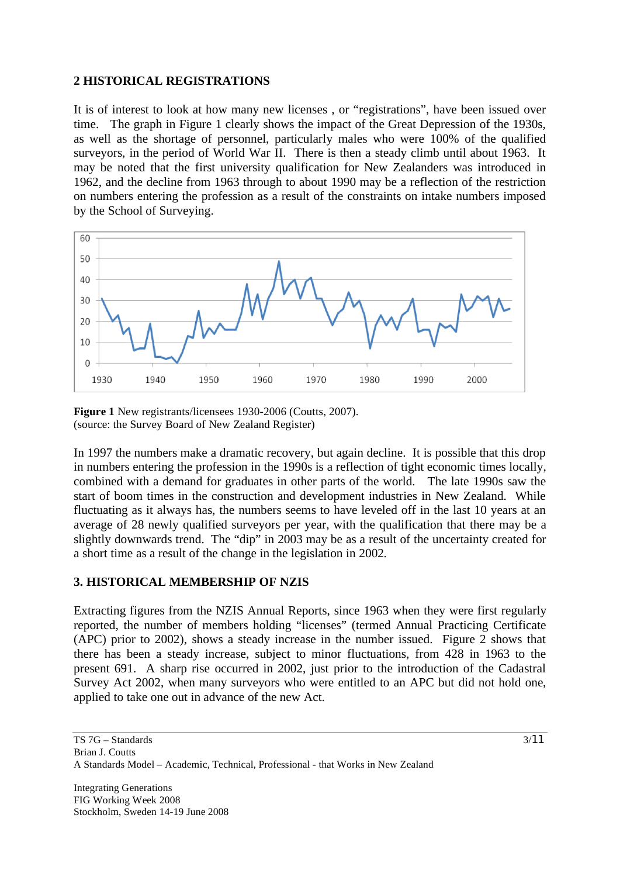#### **2 HISTORICAL REGISTRATIONS**

It is of interest to look at how many new licenses , or "registrations", have been issued over time. The graph in Figure 1 clearly shows the impact of the Great Depression of the 1930s, as well as the shortage of personnel, particularly males who were 100% of the qualified surveyors, in the period of World War II. There is then a steady climb until about 1963. It may be noted that the first university qualification for New Zealanders was introduced in 1962, and the decline from 1963 through to about 1990 may be a reflection of the restriction on numbers entering the profession as a result of the constraints on intake numbers imposed by the School of Surveying.



**Figure 1** New registrants/licensees 1930-2006 (Coutts, 2007). (source: the Survey Board of New Zealand Register)

In 1997 the numbers make a dramatic recovery, but again decline. It is possible that this drop in numbers entering the profession in the 1990s is a reflection of tight economic times locally, combined with a demand for graduates in other parts of the world. The late 1990s saw the start of boom times in the construction and development industries in New Zealand. While fluctuating as it always has, the numbers seems to have leveled off in the last 10 years at an average of 28 newly qualified surveyors per year, with the qualification that there may be a slightly downwards trend. The "dip" in 2003 may be as a result of the uncertainty created for a short time as a result of the change in the legislation in 2002.

### **3. HISTORICAL MEMBERSHIP OF NZIS**

Extracting figures from the NZIS Annual Reports, since 1963 when they were first regularly reported, the number of members holding "licenses" (termed Annual Practicing Certificate (APC) prior to 2002), shows a steady increase in the number issued. Figure 2 shows that there has been a steady increase, subject to minor fluctuations, from 428 in 1963 to the present 691. A sharp rise occurred in 2002, just prior to the introduction of the Cadastral Survey Act 2002, when many surveyors who were entitled to an APC but did not hold one, applied to take one out in advance of the new Act.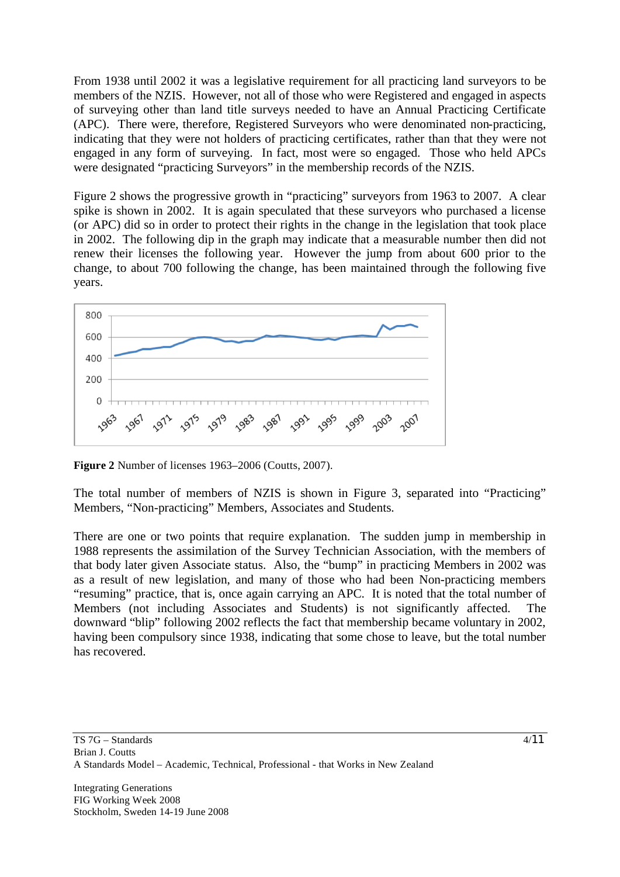From 1938 until 2002 it was a legislative requirement for all practicing land surveyors to be members of the NZIS. However, not all of those who were Registered and engaged in aspects of surveying other than land title surveys needed to have an Annual Practicing Certificate (APC). There were, therefore, Registered Surveyors who were denominated non-practicing, indicating that they were not holders of practicing certificates, rather than that they were not engaged in any form of surveying. In fact, most were so engaged. Those who held APCs were designated "practicing Surveyors" in the membership records of the NZIS.

Figure 2 shows the progressive growth in "practicing" surveyors from 1963 to 2007. A clear spike is shown in 2002. It is again speculated that these surveyors who purchased a license (or APC) did so in order to protect their rights in the change in the legislation that took place in 2002. The following dip in the graph may indicate that a measurable number then did not renew their licenses the following year. However the jump from about 600 prior to the change, to about 700 following the change, has been maintained through the following five years.



**Figure 2** Number of licenses 1963–2006 (Coutts, 2007).

The total number of members of NZIS is shown in Figure 3, separated into "Practicing" Members, "Non-practicing" Members, Associates and Students.

There are one or two points that require explanation. The sudden jump in membership in 1988 represents the assimilation of the Survey Technician Association, with the members of that body later given Associate status. Also, the "bump" in practicing Members in 2002 was as a result of new legislation, and many of those who had been Non-practicing members "resuming" practice, that is, once again carrying an APC. It is noted that the total number of Members (not including Associates and Students) is not significantly affected. The downward "blip" following 2002 reflects the fact that membership became voluntary in 2002, having been compulsory since 1938, indicating that some chose to leave, but the total number has recovered.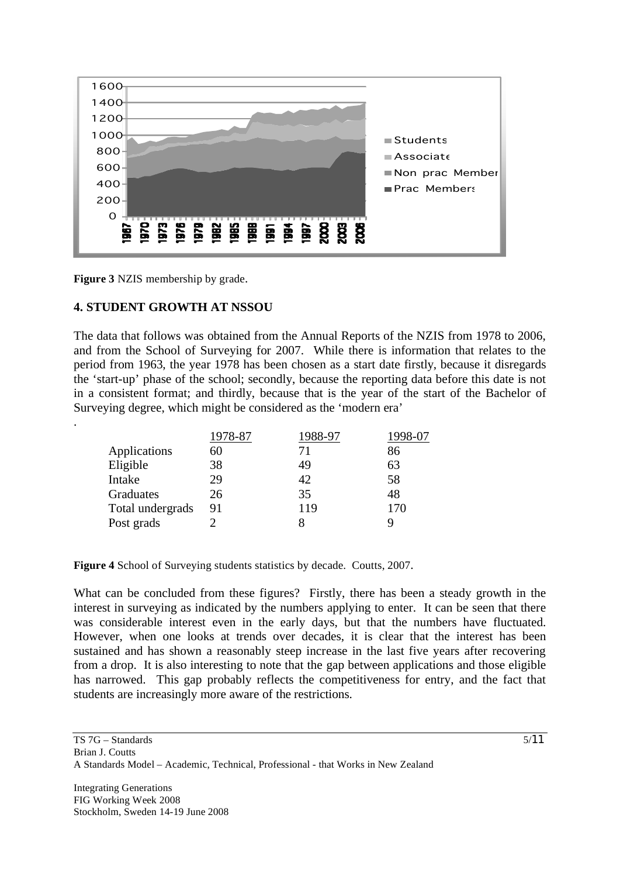

**Figure 3** NZIS membership by grade.

.

### **4. STUDENT GROWTH AT NSSOU**

The data that follows was obtained from the Annual Reports of the NZIS from 1978 to 2006, and from the School of Surveying for 2007. While there is information that relates to the period from 1963, the year 1978 has been chosen as a start date firstly, because it disregards the 'start-up' phase of the school; secondly, because the reporting data before this date is not in a consistent format; and thirdly, because that is the year of the start of the Bachelor of Surveying degree, which might be considered as the 'modern era'

|                  | 1978-87 | 1988-97 |     |
|------------------|---------|---------|-----|
| Applications     | 60      | 71      | 86  |
| Eligible         | 38      | 49      | 63  |
| Intake           | 29      | 42      | 58  |
| Graduates        | 26      | 35      | 48  |
| Total undergrads | 91      | 119     | 170 |
| Post grads       |         |         |     |

**Figure 4** School of Surveying students statistics by decade. Coutts, 2007.

What can be concluded from these figures? Firstly, there has been a steady growth in the interest in surveying as indicated by the numbers applying to enter. It can be seen that there was considerable interest even in the early days, but that the numbers have fluctuated. However, when one looks at trends over decades, it is clear that the interest has been sustained and has shown a reasonably steep increase in the last five years after recovering from a drop. It is also interesting to note that the gap between applications and those eligible has narrowed. This gap probably reflects the competitiveness for entry, and the fact that students are increasingly more aware of the restrictions.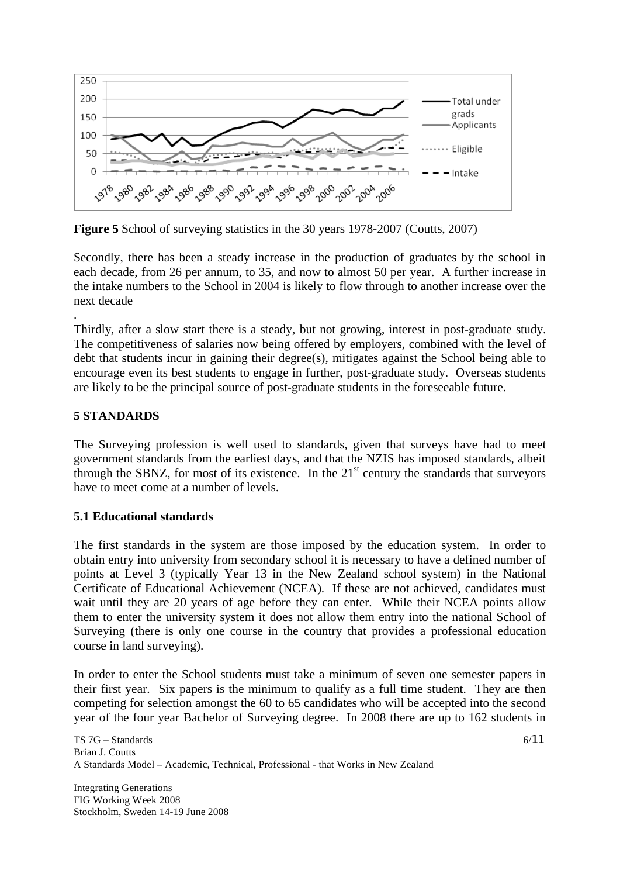

**Figure 5** School of surveying statistics in the 30 years 1978-2007 (Coutts, 2007)

Secondly, there has been a steady increase in the production of graduates by the school in each decade, from 26 per annum, to 35, and now to almost 50 per year. A further increase in the intake numbers to the School in 2004 is likely to flow through to another increase over the next decade

Thirdly, after a slow start there is a steady, but not growing, interest in post-graduate study. The competitiveness of salaries now being offered by employers, combined with the level of debt that students incur in gaining their degree(s), mitigates against the School being able to encourage even its best students to engage in further, post-graduate study. Overseas students are likely to be the principal source of post-graduate students in the foreseeable future.

### **5 STANDARDS**

.

The Surveying profession is well used to standards, given that surveys have had to meet government standards from the earliest days, and that the NZIS has imposed standards, albeit through the SBNZ, for most of its existence. In the  $21<sup>st</sup>$  century the standards that surveyors have to meet come at a number of levels.

### **5.1 Educational standards**

The first standards in the system are those imposed by the education system. In order to obtain entry into university from secondary school it is necessary to have a defined number of points at Level 3 (typically Year 13 in the New Zealand school system) in the National Certificate of Educational Achievement (NCEA). If these are not achieved, candidates must wait until they are 20 years of age before they can enter. While their NCEA points allow them to enter the university system it does not allow them entry into the national School of Surveying (there is only one course in the country that provides a professional education course in land surveying).

In order to enter the School students must take a minimum of seven one semester papers in their first year. Six papers is the minimum to qualify as a full time student. They are then competing for selection amongst the 60 to 65 candidates who will be accepted into the second year of the four year Bachelor of Surveying degree. In 2008 there are up to 162 students in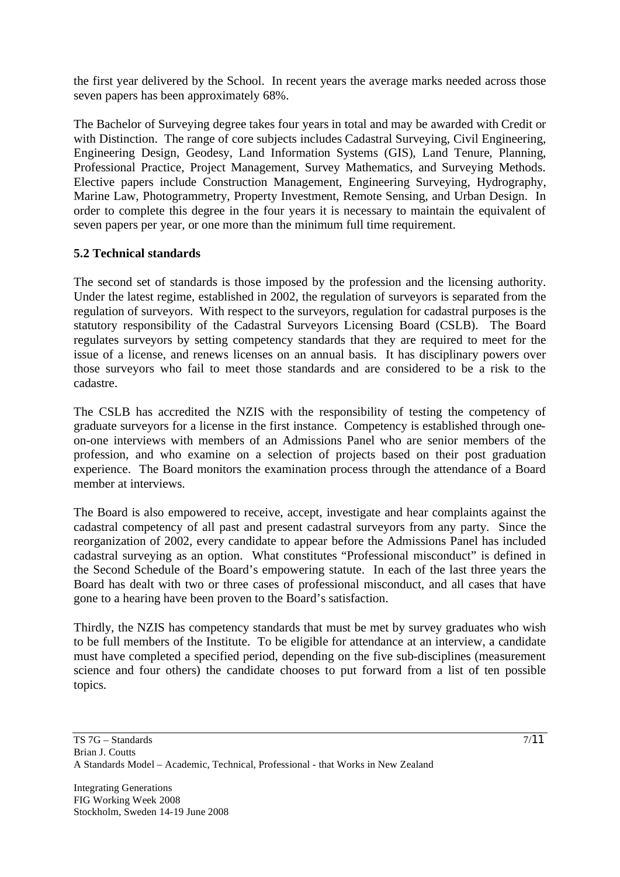the first year delivered by the School. In recent years the average marks needed across those seven papers has been approximately 68%.

The Bachelor of Surveying degree takes four years in total and may be awarded with Credit or with Distinction. The range of core subjects includes Cadastral Surveying, Civil Engineering, Engineering Design, Geodesy, Land Information Systems (GIS), Land Tenure, Planning, Professional Practice, Project Management, Survey Mathematics, and Surveying Methods. Elective papers include Construction Management, Engineering Surveying, Hydrography, Marine Law, Photogrammetry, Property Investment, Remote Sensing, and Urban Design. In order to complete this degree in the four years it is necessary to maintain the equivalent of seven papers per year, or one more than the minimum full time requirement.

# **5.2 Technical standards**

The second set of standards is those imposed by the profession and the licensing authority. Under the latest regime, established in 2002, the regulation of surveyors is separated from the regulation of surveyors. With respect to the surveyors, regulation for cadastral purposes is the statutory responsibility of the Cadastral Surveyors Licensing Board (CSLB). The Board regulates surveyors by setting competency standards that they are required to meet for the issue of a license, and renews licenses on an annual basis. It has disciplinary powers over those surveyors who fail to meet those standards and are considered to be a risk to the cadastre.

The CSLB has accredited the NZIS with the responsibility of testing the competency of graduate surveyors for a license in the first instance. Competency is established through oneon-one interviews with members of an Admissions Panel who are senior members of the profession, and who examine on a selection of projects based on their post graduation experience. The Board monitors the examination process through the attendance of a Board member at interviews.

The Board is also empowered to receive, accept, investigate and hear complaints against the cadastral competency of all past and present cadastral surveyors from any party. Since the reorganization of 2002, every candidate to appear before the Admissions Panel has included cadastral surveying as an option. What constitutes "Professional misconduct" is defined in the Second Schedule of the Board's empowering statute. In each of the last three years the Board has dealt with two or three cases of professional misconduct, and all cases that have gone to a hearing have been proven to the Board's satisfaction.

Thirdly, the NZIS has competency standards that must be met by survey graduates who wish to be full members of the Institute. To be eligible for attendance at an interview, a candidate must have completed a specified period, depending on the five sub-disciplines (measurement science and four others) the candidate chooses to put forward from a list of ten possible topics.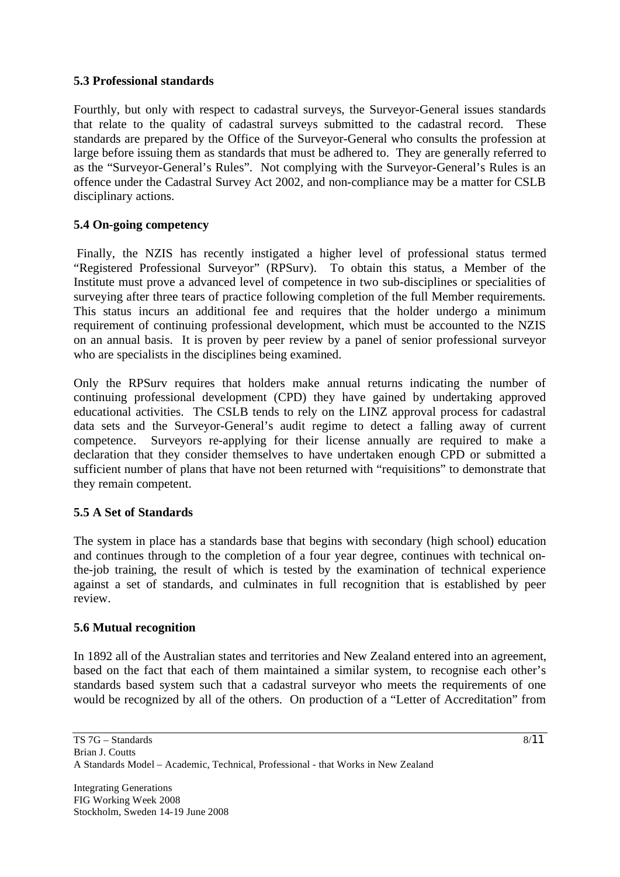#### **5.3 Professional standards**

Fourthly, but only with respect to cadastral surveys, the Surveyor-General issues standards that relate to the quality of cadastral surveys submitted to the cadastral record. These standards are prepared by the Office of the Surveyor-General who consults the profession at large before issuing them as standards that must be adhered to. They are generally referred to as the "Surveyor-General's Rules". Not complying with the Surveyor-General's Rules is an offence under the Cadastral Survey Act 2002, and non-compliance may be a matter for CSLB disciplinary actions.

### **5.4 On-going competency**

 Finally, the NZIS has recently instigated a higher level of professional status termed "Registered Professional Surveyor" (RPSurv). To obtain this status, a Member of the Institute must prove a advanced level of competence in two sub-disciplines or specialities of surveying after three tears of practice following completion of the full Member requirements. This status incurs an additional fee and requires that the holder undergo a minimum requirement of continuing professional development, which must be accounted to the NZIS on an annual basis. It is proven by peer review by a panel of senior professional surveyor who are specialists in the disciplines being examined.

Only the RPSurv requires that holders make annual returns indicating the number of continuing professional development (CPD) they have gained by undertaking approved educational activities. The CSLB tends to rely on the LINZ approval process for cadastral data sets and the Surveyor-General's audit regime to detect a falling away of current competence. Surveyors re-applying for their license annually are required to make a declaration that they consider themselves to have undertaken enough CPD or submitted a sufficient number of plans that have not been returned with "requisitions" to demonstrate that they remain competent.

### **5.5 A Set of Standards**

The system in place has a standards base that begins with secondary (high school) education and continues through to the completion of a four year degree, continues with technical onthe-job training, the result of which is tested by the examination of technical experience against a set of standards, and culminates in full recognition that is established by peer review.

#### **5.6 Mutual recognition**

In 1892 all of the Australian states and territories and New Zealand entered into an agreement, based on the fact that each of them maintained a similar system, to recognise each other's standards based system such that a cadastral surveyor who meets the requirements of one would be recognized by all of the others. On production of a "Letter of Accreditation" from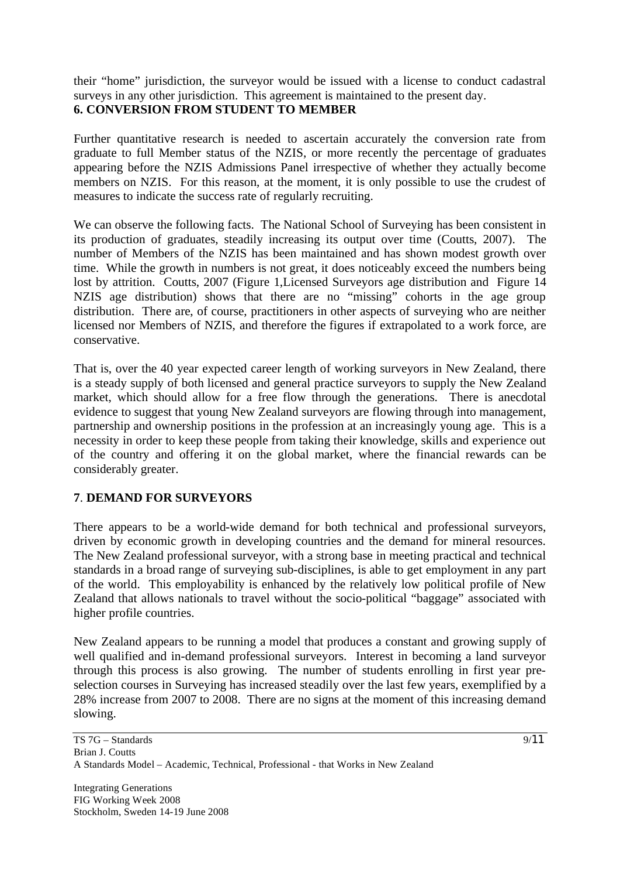their "home" jurisdiction, the surveyor would be issued with a license to conduct cadastral surveys in any other jurisdiction. This agreement is maintained to the present day. **6. CONVERSION FROM STUDENT TO MEMBER** 

Further quantitative research is needed to ascertain accurately the conversion rate from graduate to full Member status of the NZIS, or more recently the percentage of graduates appearing before the NZIS Admissions Panel irrespective of whether they actually become members on NZIS. For this reason, at the moment, it is only possible to use the crudest of measures to indicate the success rate of regularly recruiting.

We can observe the following facts. The National School of Surveying has been consistent in its production of graduates, steadily increasing its output over time (Coutts, 2007). The number of Members of the NZIS has been maintained and has shown modest growth over time. While the growth in numbers is not great, it does noticeably exceed the numbers being lost by attrition. Coutts, 2007 (Figure 1, Licensed Surveyors age distribution and Figure 14 NZIS age distribution) shows that there are no "missing" cohorts in the age group distribution. There are, of course, practitioners in other aspects of surveying who are neither licensed nor Members of NZIS, and therefore the figures if extrapolated to a work force, are conservative.

That is, over the 40 year expected career length of working surveyors in New Zealand, there is a steady supply of both licensed and general practice surveyors to supply the New Zealand market, which should allow for a free flow through the generations. There is anecdotal evidence to suggest that young New Zealand surveyors are flowing through into management, partnership and ownership positions in the profession at an increasingly young age. This is a necessity in order to keep these people from taking their knowledge, skills and experience out of the country and offering it on the global market, where the financial rewards can be considerably greater.

### **7**. **DEMAND FOR SURVEYORS**

There appears to be a world-wide demand for both technical and professional surveyors, driven by economic growth in developing countries and the demand for mineral resources. The New Zealand professional surveyor, with a strong base in meeting practical and technical standards in a broad range of surveying sub-disciplines, is able to get employment in any part of the world. This employability is enhanced by the relatively low political profile of New Zealand that allows nationals to travel without the socio-political "baggage" associated with higher profile countries.

New Zealand appears to be running a model that produces a constant and growing supply of well qualified and in-demand professional surveyors. Interest in becoming a land surveyor through this process is also growing. The number of students enrolling in first year preselection courses in Surveying has increased steadily over the last few years, exemplified by a 28% increase from 2007 to 2008. There are no signs at the moment of this increasing demand slowing.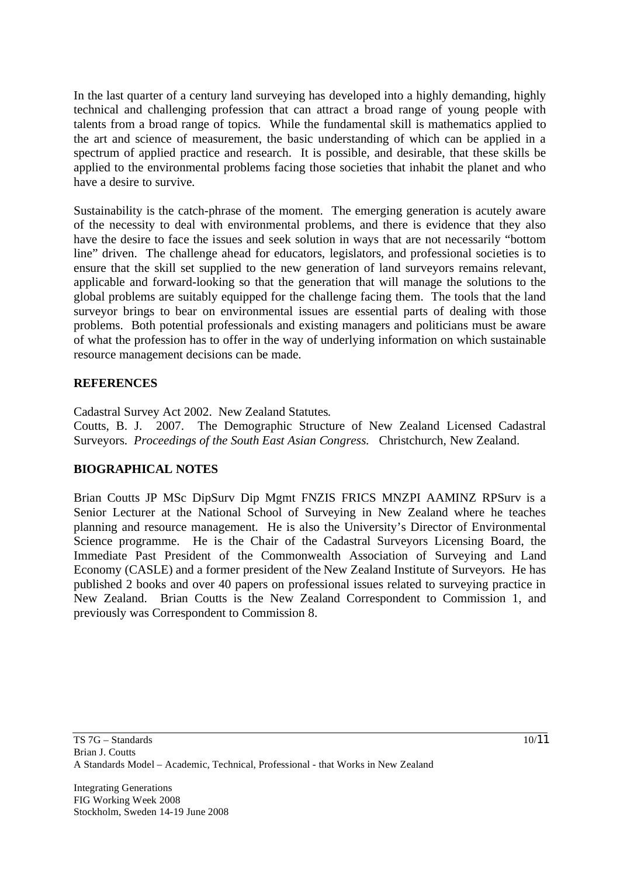In the last quarter of a century land surveying has developed into a highly demanding, highly technical and challenging profession that can attract a broad range of young people with talents from a broad range of topics. While the fundamental skill is mathematics applied to the art and science of measurement, the basic understanding of which can be applied in a spectrum of applied practice and research. It is possible, and desirable, that these skills be applied to the environmental problems facing those societies that inhabit the planet and who have a desire to survive.

Sustainability is the catch-phrase of the moment. The emerging generation is acutely aware of the necessity to deal with environmental problems, and there is evidence that they also have the desire to face the issues and seek solution in ways that are not necessarily "bottom line" driven. The challenge ahead for educators, legislators, and professional societies is to ensure that the skill set supplied to the new generation of land surveyors remains relevant, applicable and forward-looking so that the generation that will manage the solutions to the global problems are suitably equipped for the challenge facing them. The tools that the land surveyor brings to bear on environmental issues are essential parts of dealing with those problems. Both potential professionals and existing managers and politicians must be aware of what the profession has to offer in the way of underlying information on which sustainable resource management decisions can be made.

#### **REFERENCES**

Cadastral Survey Act 2002. New Zealand Statutes. Coutts, B. J. 2007. The Demographic Structure of New Zealand Licensed Cadastral Surveyors. *Proceedings of the South East Asian Congress.* Christchurch, New Zealand.

### **BIOGRAPHICAL NOTES**

Brian Coutts JP MSc DipSurv Dip Mgmt FNZIS FRICS MNZPI AAMINZ RPSurv is a Senior Lecturer at the National School of Surveying in New Zealand where he teaches planning and resource management. He is also the University's Director of Environmental Science programme. He is the Chair of the Cadastral Surveyors Licensing Board, the Immediate Past President of the Commonwealth Association of Surveying and Land Economy (CASLE) and a former president of the New Zealand Institute of Surveyors. He has published 2 books and over 40 papers on professional issues related to surveying practice in New Zealand. Brian Coutts is the New Zealand Correspondent to Commission 1, and previously was Correspondent to Commission 8.

10/11